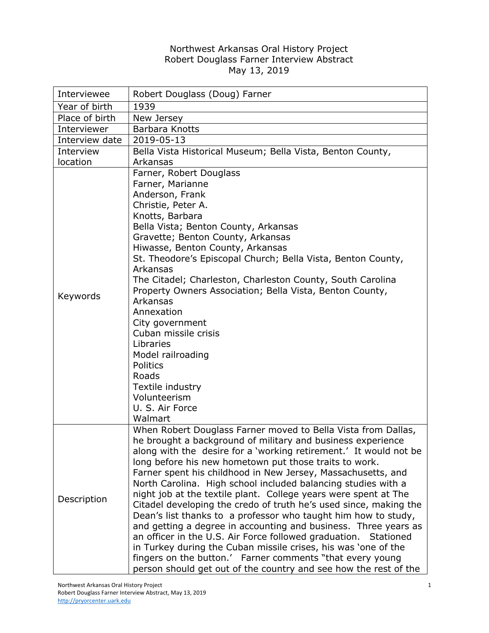## Northwest Arkansas Oral History Project Robert Douglass Farner Interview Abstract May 13, 2019

| Interviewee    | Robert Douglass (Doug) Farner                                                                                                                                                                                                                                                                                                                                                                                                                                                                                                                                                                                                                                                                                                                                                                                                                                                                                                                   |
|----------------|-------------------------------------------------------------------------------------------------------------------------------------------------------------------------------------------------------------------------------------------------------------------------------------------------------------------------------------------------------------------------------------------------------------------------------------------------------------------------------------------------------------------------------------------------------------------------------------------------------------------------------------------------------------------------------------------------------------------------------------------------------------------------------------------------------------------------------------------------------------------------------------------------------------------------------------------------|
| Year of birth  | 1939                                                                                                                                                                                                                                                                                                                                                                                                                                                                                                                                                                                                                                                                                                                                                                                                                                                                                                                                            |
| Place of birth | New Jersey                                                                                                                                                                                                                                                                                                                                                                                                                                                                                                                                                                                                                                                                                                                                                                                                                                                                                                                                      |
| Interviewer    | Barbara Knotts                                                                                                                                                                                                                                                                                                                                                                                                                                                                                                                                                                                                                                                                                                                                                                                                                                                                                                                                  |
| Interview date | 2019-05-13                                                                                                                                                                                                                                                                                                                                                                                                                                                                                                                                                                                                                                                                                                                                                                                                                                                                                                                                      |
| Interview      | Bella Vista Historical Museum; Bella Vista, Benton County,                                                                                                                                                                                                                                                                                                                                                                                                                                                                                                                                                                                                                                                                                                                                                                                                                                                                                      |
| location       | Arkansas                                                                                                                                                                                                                                                                                                                                                                                                                                                                                                                                                                                                                                                                                                                                                                                                                                                                                                                                        |
| Keywords       | Farner, Robert Douglass<br>Farner, Marianne<br>Anderson, Frank<br>Christie, Peter A.<br>Knotts, Barbara<br>Bella Vista; Benton County, Arkansas<br>Gravette; Benton County, Arkansas<br>Hiwasse, Benton County, Arkansas<br>St. Theodore's Episcopal Church; Bella Vista, Benton County,<br>Arkansas<br>The Citadel; Charleston, Charleston County, South Carolina<br>Property Owners Association; Bella Vista, Benton County,<br>Arkansas<br>Annexation<br>City government<br>Cuban missile crisis<br>Libraries<br>Model railroading<br>Politics<br>Roads<br>Textile industry<br>Volunteerism<br>U. S. Air Force<br>Walmart                                                                                                                                                                                                                                                                                                                    |
| Description    | When Robert Douglass Farner moved to Bella Vista from Dallas,<br>he brought a background of military and business experience<br>along with the desire for a 'working retirement.' It would not be<br>long before his new hometown put those traits to work.<br>Farner spent his childhood in New Jersey, Massachusetts, and<br>North Carolina. High school included balancing studies with a<br>night job at the textile plant. College years were spent at The<br>Citadel developing the credo of truth he's used since, making the<br>Dean's list thanks to a professor who taught him how to study,<br>and getting a degree in accounting and business. Three years as<br>an officer in the U.S. Air Force followed graduation. Stationed<br>in Turkey during the Cuban missile crises, his was 'one of the<br>fingers on the button.' Farner comments "that every young<br>person should get out of the country and see how the rest of the |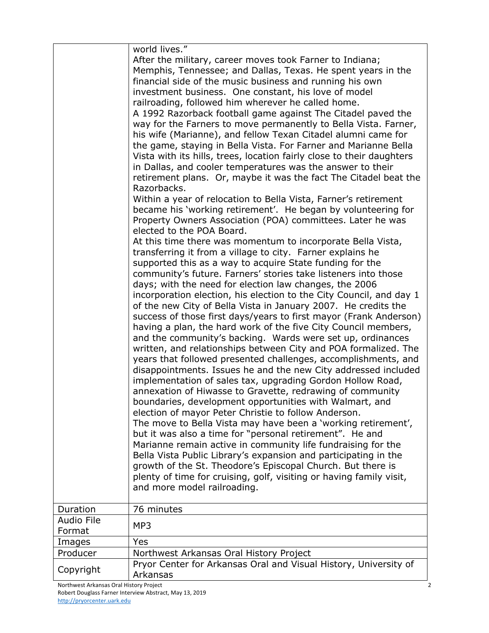|                             | world lives."                                                                                                                                                                                                                                                                                                                                                                                                                                                                                                                                                                                                                                                                                                                                                                                                                                                                                                                                                                                                                                                                                                                                                                                                                                                                                                         |
|-----------------------------|-----------------------------------------------------------------------------------------------------------------------------------------------------------------------------------------------------------------------------------------------------------------------------------------------------------------------------------------------------------------------------------------------------------------------------------------------------------------------------------------------------------------------------------------------------------------------------------------------------------------------------------------------------------------------------------------------------------------------------------------------------------------------------------------------------------------------------------------------------------------------------------------------------------------------------------------------------------------------------------------------------------------------------------------------------------------------------------------------------------------------------------------------------------------------------------------------------------------------------------------------------------------------------------------------------------------------|
|                             | After the military, career moves took Farner to Indiana;<br>Memphis, Tennessee; and Dallas, Texas. He spent years in the<br>financial side of the music business and running his own<br>investment business. One constant, his love of model<br>railroading, followed him wherever he called home.<br>A 1992 Razorback football game against The Citadel paved the<br>way for the Farners to move permanently to Bella Vista. Farner,<br>his wife (Marianne), and fellow Texan Citadel alumni came for<br>the game, staying in Bella Vista. For Farner and Marianne Bella<br>Vista with its hills, trees, location fairly close to their daughters<br>in Dallas, and cooler temperatures was the answer to their<br>retirement plans. Or, maybe it was the fact The Citadel beat the<br>Razorbacks.<br>Within a year of relocation to Bella Vista, Farner's retirement<br>became his 'working retirement'. He began by volunteering for<br>Property Owners Association (POA) committees. Later he was<br>elected to the POA Board.<br>At this time there was momentum to incorporate Bella Vista,                                                                                                                                                                                                                     |
|                             | transferring it from a village to city. Farner explains he<br>supported this as a way to acquire State funding for the<br>community's future. Farners' stories take listeners into those<br>days; with the need for election law changes, the 2006<br>incorporation election, his election to the City Council, and day 1<br>of the new City of Bella Vista in January 2007. He credits the<br>success of those first days/years to first mayor (Frank Anderson)<br>having a plan, the hard work of the five City Council members,<br>and the community's backing. Wards were set up, ordinances<br>written, and relationships between City and POA formalized. The<br>years that followed presented challenges, accomplishments, and<br>disappointments. Issues he and the new City addressed included<br>implementation of sales tax, upgrading Gordon Hollow Road,<br>annexation of Hiwasse to Gravette, redrawing of community<br>boundaries, development opportunities with Walmart, and<br>election of mayor Peter Christie to follow Anderson.<br>The move to Bella Vista may have been a 'working retirement',<br>but it was also a time for "personal retirement". He and<br>Marianne remain active in community life fundraising for the<br>Bella Vista Public Library's expansion and participating in the |
|                             | growth of the St. Theodore's Episcopal Church. But there is<br>plenty of time for cruising, golf, visiting or having family visit,<br>and more model railroading.                                                                                                                                                                                                                                                                                                                                                                                                                                                                                                                                                                                                                                                                                                                                                                                                                                                                                                                                                                                                                                                                                                                                                     |
| Duration                    | 76 minutes                                                                                                                                                                                                                                                                                                                                                                                                                                                                                                                                                                                                                                                                                                                                                                                                                                                                                                                                                                                                                                                                                                                                                                                                                                                                                                            |
| <b>Audio File</b><br>Format | MP3                                                                                                                                                                                                                                                                                                                                                                                                                                                                                                                                                                                                                                                                                                                                                                                                                                                                                                                                                                                                                                                                                                                                                                                                                                                                                                                   |
| Images                      | Yes                                                                                                                                                                                                                                                                                                                                                                                                                                                                                                                                                                                                                                                                                                                                                                                                                                                                                                                                                                                                                                                                                                                                                                                                                                                                                                                   |
| Producer                    | Northwest Arkansas Oral History Project                                                                                                                                                                                                                                                                                                                                                                                                                                                                                                                                                                                                                                                                                                                                                                                                                                                                                                                                                                                                                                                                                                                                                                                                                                                                               |
| Copyright                   | Pryor Center for Arkansas Oral and Visual History, University of<br>Arkansas                                                                                                                                                                                                                                                                                                                                                                                                                                                                                                                                                                                                                                                                                                                                                                                                                                                                                                                                                                                                                                                                                                                                                                                                                                          |
|                             |                                                                                                                                                                                                                                                                                                                                                                                                                                                                                                                                                                                                                                                                                                                                                                                                                                                                                                                                                                                                                                                                                                                                                                                                                                                                                                                       |